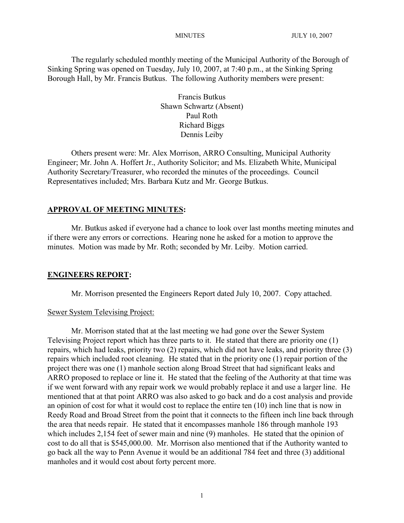The regularly scheduled monthly meeting of the Municipal Authority of the Borough of Sinking Spring was opened on Tuesday, July 10, 2007, at 7:40 p.m., at the Sinking Spring Borough Hall, by Mr. Francis Butkus. The following Authority members were present:

> Francis Butkus Shawn Schwartz (Absent) Paul Roth Richard Biggs Dennis Leiby

Others present were: Mr. Alex Morrison, ARRO Consulting, Municipal Authority Engineer; Mr. John A. Hoffert Jr., Authority Solicitor; and Ms. Elizabeth White, Municipal Authority Secretary/Treasurer, who recorded the minutes of the proceedings. Council Representatives included; Mrs. Barbara Kutz and Mr. George Butkus.

# **APPROVAL OF MEETING MINUTES:**

Mr. Butkus asked if everyone had a chance to look over last months meeting minutes and if there were any errors or corrections. Hearing none he asked for a motion to approve the minutes. Motion was made by Mr. Roth; seconded by Mr. Leiby. Motion carried.

#### **ENGINEERS REPORT:**

Mr. Morrison presented the Engineers Report dated July 10, 2007. Copy attached.

# Sewer System Televising Project:

Mr. Morrison stated that at the last meeting we had gone over the Sewer System Televising Project report which has three parts to it. He stated that there are priority one (1) repairs, which had leaks, priority two (2) repairs, which did not have leaks, and priority three (3) repairs which included root cleaning. He stated that in the priority one (1) repair portion of the project there was one (1) manhole section along Broad Street that had significant leaks and ARRO proposed to replace or line it. He stated that the feeling of the Authority at that time was if we went forward with any repair work we would probably replace it and use a larger line. He mentioned that at that point ARRO was also asked to go back and do a cost analysis and provide an opinion of cost for what it would cost to replace the entire ten (10) inch line that is now in Reedy Road and Broad Street from the point that it connects to the fifteen inch line back through the area that needs repair. He stated that it encompasses manhole 186 through manhole 193 which includes 2,154 feet of sewer main and nine (9) manholes. He stated that the opinion of cost to do all that is \$545,000.00. Mr. Morrison also mentioned that if the Authority wanted to go back all the way to Penn Avenue it would be an additional 784 feet and three (3) additional manholes and it would cost about forty percent more.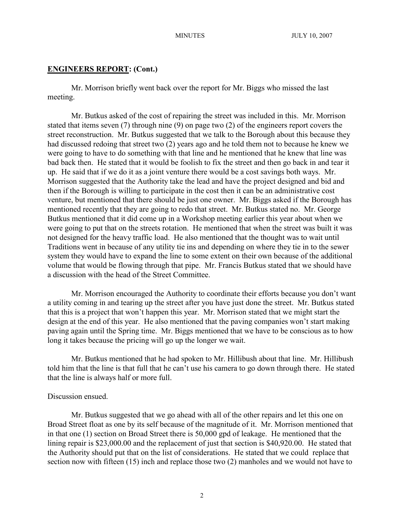# **ENGINEERS REPORT: (Cont.)**

Mr. Morrison briefly went back over the report for Mr. Biggs who missed the last meeting.

Mr. Butkus asked of the cost of repairing the street was included in this. Mr. Morrison stated that items seven (7) through nine (9) on page two (2) of the engineers report covers the street reconstruction. Mr. Butkus suggested that we talk to the Borough about this because they had discussed redoing that street two (2) years ago and he told them not to because he knew we were going to have to do something with that line and he mentioned that he knew that line was bad back then. He stated that it would be foolish to fix the street and then go back in and tear it up. He said that if we do it as a joint venture there would be a cost savings both ways. Mr. Morrison suggested that the Authority take the lead and have the project designed and bid and then if the Borough is willing to participate in the cost then it can be an administrative cost venture, but mentioned that there should be just one owner. Mr. Biggs asked if the Borough has mentioned recently that they are going to redo that street. Mr. Butkus stated no. Mr. George Butkus mentioned that it did come up in a Workshop meeting earlier this year about when we were going to put that on the streets rotation. He mentioned that when the street was built it was not designed for the heavy traffic load. He also mentioned that the thought was to wait until Traditions went in because of any utility tie ins and depending on where they tie in to the sewer system they would have to expand the line to some extent on their own because of the additional volume that would be flowing through that pipe. Mr. Francis Butkus stated that we should have a discussion with the head of the Street Committee.

Mr. Morrison encouraged the Authority to coordinate their efforts because you don't want a utility coming in and tearing up the street after you have just done the street. Mr. Butkus stated that this is a project that won't happen this year. Mr. Morrison stated that we might start the design at the end of this year. He also mentioned that the paving companies won't start making paving again until the Spring time. Mr. Biggs mentioned that we have to be conscious as to how long it takes because the pricing will go up the longer we wait.

Mr. Butkus mentioned that he had spoken to Mr. Hillibush about that line. Mr. Hillibush told him that the line is that full that he can't use his camera to go down through there. He stated that the line is always half or more full.

# Discussion ensued.

Mr. Butkus suggested that we go ahead with all of the other repairs and let this one on Broad Street float as one by its self because of the magnitude of it. Mr. Morrison mentioned that in that one (1) section on Broad Street there is 50,000 gpd of leakage. He mentioned that the lining repair is \$23,000.00 and the replacement of just that section is \$40,920.00. He stated that the Authority should put that on the list of considerations. He stated that we could replace that section now with fifteen (15) inch and replace those two (2) manholes and we would not have to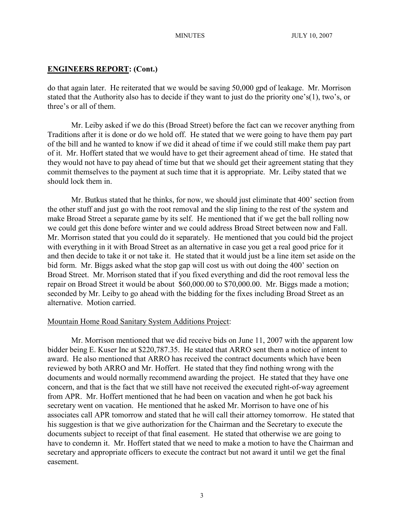# **ENGINEERS REPORT: (Cont.)**

do that again later. He reiterated that we would be saving 50,000 gpd of leakage. Mr. Morrison stated that the Authority also has to decide if they want to just do the priority one's(1), two's, or three's or all of them.

Mr. Leiby asked if we do this (Broad Street) before the fact can we recover anything from Traditions after it is done or do we hold off. He stated that we were going to have them pay part of the bill and he wanted to know if we did it ahead of time if we could still make them pay part of it. Mr. Hoffert stated that we would have to get their agreement ahead of time. He stated that they would not have to pay ahead of time but that we should get their agreement stating that they commit themselves to the payment at such time that it is appropriate. Mr. Leiby stated that we should lock them in.

Mr. Butkus stated that he thinks, for now, we should just eliminate that 400' section from the other stuff and just go with the root removal and the slip lining to the rest of the system and make Broad Street a separate game by its self. He mentioned that if we get the ball rolling now we could get this done before winter and we could address Broad Street between now and Fall. Mr. Morrison stated that you could do it separately. He mentioned that you could bid the project with everything in it with Broad Street as an alternative in case you get a real good price for it and then decide to take it or not take it. He stated that it would just be a line item set aside on the bid form. Mr. Biggs asked what the stop gap will cost us with out doing the 400' section on Broad Street. Mr. Morrison stated that if you fixed everything and did the root removal less the repair on Broad Street it would be about \$60,000.00 to \$70,000.00. Mr. Biggs made a motion; seconded by Mr. Leiby to go ahead with the bidding for the fixes including Broad Street as an alternative. Motion carried.

### Mountain Home Road Sanitary System Additions Project:

Mr. Morrison mentioned that we did receive bids on June 11, 2007 with the apparent low bidder being E. Kuser Inc at \$220,787.35. He stated that ARRO sent them a notice of intent to award. He also mentioned that ARRO has received the contract documents which have been reviewed by both ARRO and Mr. Hoffert. He stated that they find nothing wrong with the documents and would normally recommend awarding the project. He stated that they have one concern, and that is the fact that we still have not received the executed right-of-way agreement from APR. Mr. Hoffert mentioned that he had been on vacation and when he got back his secretary went on vacation. He mentioned that he asked Mr. Morrison to have one of his associates call APR tomorrow and stated that he will call their attorney tomorrow. He stated that his suggestion is that we give authorization for the Chairman and the Secretary to execute the documents subject to receipt of that final easement. He stated that otherwise we are going to have to condemn it. Mr. Hoffert stated that we need to make a motion to have the Chairman and secretary and appropriate officers to execute the contract but not award it until we get the final easement.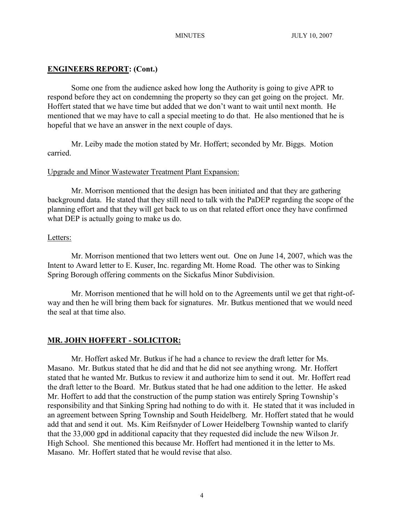# **ENGINEERS REPORT: (Cont.)**

Some one from the audience asked how long the Authority is going to give APR to respond before they act on condemning the property so they can get going on the project. Mr. Hoffert stated that we have time but added that we don't want to wait until next month. He mentioned that we may have to call a special meeting to do that. He also mentioned that he is hopeful that we have an answer in the next couple of days.

Mr. Leiby made the motion stated by Mr. Hoffert; seconded by Mr. Biggs. Motion carried.

# Upgrade and Minor Wastewater Treatment Plant Expansion:

Mr. Morrison mentioned that the design has been initiated and that they are gathering background data. He stated that they still need to talk with the PaDEP regarding the scope of the planning effort and that they will get back to us on that related effort once they have confirmed what DEP is actually going to make us do.

### Letters:

Mr. Morrison mentioned that two letters went out. One on June 14, 2007, which was the Intent to Award letter to E. Kuser, Inc. regarding Mt. Home Road. The other was to Sinking Spring Borough offering comments on the Sickafus Minor Subdivision.

Mr. Morrison mentioned that he will hold on to the Agreements until we get that right-ofway and then he will bring them back for signatures. Mr. Butkus mentioned that we would need the seal at that time also.

# **MR. JOHN HOFFERT - SOLICITOR:**

Mr. Hoffert asked Mr. Butkus if he had a chance to review the draft letter for Ms. Masano. Mr. Butkus stated that he did and that he did not see anything wrong. Mr. Hoffert stated that he wanted Mr. Butkus to review it and authorize him to send it out. Mr. Hoffert read the draft letter to the Board. Mr. Butkus stated that he had one addition to the letter. He asked Mr. Hoffert to add that the construction of the pump station was entirely Spring Township's responsibility and that Sinking Spring had nothing to do with it. He stated that it was included in an agreement between Spring Township and South Heidelberg. Mr. Hoffert stated that he would add that and send it out. Ms. Kim Reifsnyder of Lower Heidelberg Township wanted to clarify that the 33,000 gpd in additional capacity that they requested did include the new Wilson Jr. High School. She mentioned this because Mr. Hoffert had mentioned it in the letter to Ms. Masano. Mr. Hoffert stated that he would revise that also.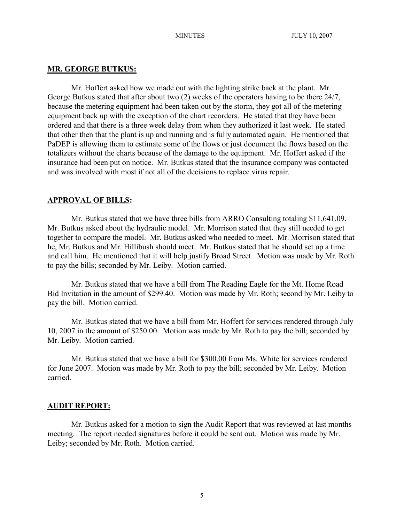# **MR. GEORGE BUTKUS:**

Mr. Hoffert asked how we made out with the lighting strike back at the plant. Mr. George Butkus stated that after about two (2) weeks of the operators having to be there 24/7, because the metering equipment had been taken out by the storm, they got all of the metering equipment back up with the exception of the chart recorders. He stated that they have been ordered and that there is a three week delay from when they authorized it last week. He stated that other then that the plant is up and running and is fully automated again. He mentioned that PaDEP is allowing them to estimate some of the flows or just document the flows based on the totalizers without the charts because of the damage to the equipment. Mr. Hoffert asked if the insurance had been put on notice. Mr. Butkus stated that the insurance company was contacted and was involved with most if not all of the decisions to replace virus repair.

# **APPROVAL OF BILLS:**

Mr. Butkus stated that we have three bills from ARRO Consulting totaling \$11,641.09. Mr. Butkus asked about the hydraulic model. Mr. Morrison stated that they still needed to get together to compare the model. Mr. Butkus asked who needed to meet. Mr. Morrison stated that he, Mr. Butkus and Mr. Hillibush should meet. Mr. Butkus stated that he should set up a time and call him. He mentioned that it will help justify Broad Street. Motion was made by Mr. Roth to pay the bills; seconded by Mr. Leiby. Motion carried.

Mr. Butkus stated that we have a bill from The Reading Eagle for the Mt. Home Road Bid Invitation in the amount of \$299.40. Motion was made by Mr. Roth; second by Mr. Leiby to pay the bill. Motion carried.

Mr. Butkus stated that we have a bill from Mr. Hoffert for services rendered through July 10, 2007 in the amount of \$250.00. Motion was made by Mr. Roth to pay the bill; seconded by Mr. Leiby. Motion carried.

Mr. Butkus stated that we have a bill for \$300.00 from Ms. White for services rendered for June 2007. Motion was made by Mr. Roth to pay the bill; seconded by Mr. Leiby. Motion carried.

#### **AUDIT REPORT:**

Mr. Butkus asked for a motion to sign the Audit Report that was reviewed at last months meeting. The report needed signatures before it could be sent out. Motion was made by Mr. Leiby; seconded by Mr. Roth. Motion carried.